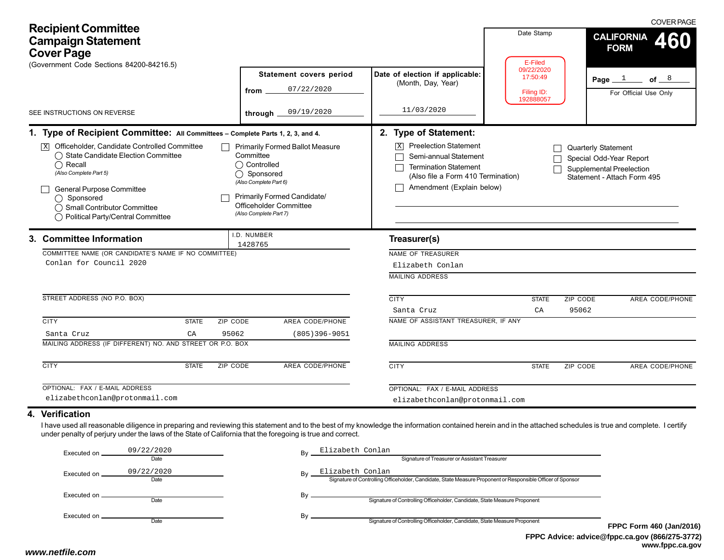| <b>Recipient Committee</b><br><b>Campaign Statement</b><br><b>Cover Page</b><br>(Government Code Sections 84200-84216.5)                                                                                                                                                                                                                          |                                                                                                                                                                                                 |                                                                                                                                                                                                                                                                                                                     | Date Stamp<br>E-Filed                             | <b>COVER PAGE</b><br><b>CALIFORNIA</b><br>460<br><b>FORM</b> |  |  |  |  |
|---------------------------------------------------------------------------------------------------------------------------------------------------------------------------------------------------------------------------------------------------------------------------------------------------------------------------------------------------|-------------------------------------------------------------------------------------------------------------------------------------------------------------------------------------------------|---------------------------------------------------------------------------------------------------------------------------------------------------------------------------------------------------------------------------------------------------------------------------------------------------------------------|---------------------------------------------------|--------------------------------------------------------------|--|--|--|--|
|                                                                                                                                                                                                                                                                                                                                                   | Statement covers period<br>07/22/2020<br>from                                                                                                                                                   | Date of election if applicable:<br>(Month, Day, Year)                                                                                                                                                                                                                                                               | 09/22/2020<br>17:50:49<br>Filing ID:<br>192888057 | of $8$<br>Page $1$<br>For Official Use Only                  |  |  |  |  |
| SEE INSTRUCTIONS ON REVERSE                                                                                                                                                                                                                                                                                                                       | 09/19/2020<br>through                                                                                                                                                                           | 11/03/2020                                                                                                                                                                                                                                                                                                          |                                                   |                                                              |  |  |  |  |
| 1. Type of Recipient Committee: All Committees - Complete Parts 1, 2, 3, and 4.<br>Officeholder, Candidate Controlled Committee<br> X <br>◯ State Candidate Election Committee<br>$\bigcirc$ Recall<br>(Also Complete Part 5)<br>General Purpose Committee<br>◯ Sponsored<br>◯ Small Contributor Committee<br>◯ Political Party/Central Committee | <b>Primarily Formed Ballot Measure</b><br>Committee<br>◯ Controlled<br>◯ Sponsored<br>(Also Complete Part 6)<br>Primarily Formed Candidate/<br>Officeholder Committee<br>(Also Complete Part 7) | 2. Type of Statement:<br>$\boxed{\mathbf{X}}$ Preelection Statement<br><b>Quarterly Statement</b><br>Semi-annual Statement<br>Special Odd-Year Report<br><b>Termination Statement</b><br>Supplemental Preelection<br>(Also file a Form 410 Termination)<br>Statement - Attach Form 495<br>Amendment (Explain below) |                                                   |                                                              |  |  |  |  |
| 3. Committee Information<br>COMMITTEE NAME (OR CANDIDATE'S NAME IF NO COMMITTEE)<br>Conlan for Council 2020                                                                                                                                                                                                                                       | I.D. NUMBER<br>1428765                                                                                                                                                                          | Treasurer(s)<br>NAME OF TREASURER<br>Elizabeth Conlan<br><b>MAILING ADDRESS</b>                                                                                                                                                                                                                                     |                                                   |                                                              |  |  |  |  |
| STREET ADDRESS (NO P.O. BOX)                                                                                                                                                                                                                                                                                                                      |                                                                                                                                                                                                 | <b>CITY</b><br>Santa Cruz                                                                                                                                                                                                                                                                                           | <b>STATE</b><br>CA                                | ZIP CODE<br>AREA CODE/PHONE<br>95062                         |  |  |  |  |
| <b>CITY</b><br>ZIP CODE<br><b>STATE</b><br>95062<br>Santa Cruz<br>СA                                                                                                                                                                                                                                                                              | AREA CODE/PHONE<br>$(805)396 - 9051$                                                                                                                                                            | NAME OF ASSISTANT TREASURER, IF ANY                                                                                                                                                                                                                                                                                 |                                                   |                                                              |  |  |  |  |
| MAILING ADDRESS (IF DIFFERENT) NO. AND STREET OR P.O. BOX                                                                                                                                                                                                                                                                                         |                                                                                                                                                                                                 | <b>MAILING ADDRESS</b>                                                                                                                                                                                                                                                                                              |                                                   |                                                              |  |  |  |  |
| <b>CITY</b><br><b>STATE</b><br>ZIP CODE                                                                                                                                                                                                                                                                                                           | <b>AREA CODE/PHONE</b>                                                                                                                                                                          | <b>CITY</b>                                                                                                                                                                                                                                                                                                         | <b>STATE</b>                                      | ZIP CODE<br>AREA CODE/PHONE                                  |  |  |  |  |
| OPTIONAL: FAX / E-MAIL ADDRESS                                                                                                                                                                                                                                                                                                                    |                                                                                                                                                                                                 | OPTIONAL: FAX / E-MAIL ADDRESS                                                                                                                                                                                                                                                                                      |                                                   |                                                              |  |  |  |  |
| elizabethconlan@protonmail.com                                                                                                                                                                                                                                                                                                                    |                                                                                                                                                                                                 | elizabethconlan@protonmail.com                                                                                                                                                                                                                                                                                      |                                                   |                                                              |  |  |  |  |
| 4. Verification<br>I have used all reasonable diligence in preparing and reviewing this statement and to the best of my knowledge the information contained herein and in the attached schedules is true and complete. I certify<br>under penalty of perjury under the laws of the State of California that the foregoing is true and correct.    |                                                                                                                                                                                                 |                                                                                                                                                                                                                                                                                                                     |                                                   |                                                              |  |  |  |  |

| Executed on | 09/22/2020 | Bv | Elizabeth Conlan                                                                                            |            |  |
|-------------|------------|----|-------------------------------------------------------------------------------------------------------------|------------|--|
|             | Date       |    | Signature of Treasurer or Assistant Treasurer                                                               |            |  |
| Executed on | 09/22/2020 | Bv | Elizabeth Conlan                                                                                            |            |  |
|             | Date       |    | Signature of Controlling Officeholder, Candidate, State Measure Proponent or Responsible Officer of Sponsor |            |  |
| Executed on |            | Bv |                                                                                                             |            |  |
|             | Date       |    | Signature of Controlling Officeholder, Candidate, State Measure Proponent                                   |            |  |
| Executed on |            | Bv |                                                                                                             |            |  |
|             | Date       |    | Signature of Controlling Officeholder, Candidate, State Measure Proponent                                   | <b>FPP</b> |  |
|             |            |    |                                                                                                             |            |  |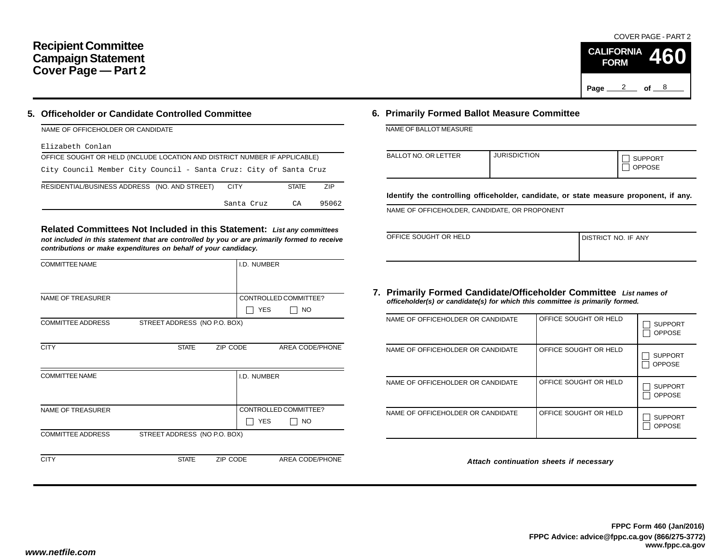## **Recipient Committee Campaign Statement Cover Page — Part 2**

### **5. Officeholder or Candidate Controlled Committee**

| NAME OF OFFICEHOLDER OR CANDIDATE                                          |              |            |
|----------------------------------------------------------------------------|--------------|------------|
| Elizabeth Conlan                                                           |              |            |
| OFFICE SOUGHT OR HELD (INCLUDE LOCATION AND DISTRICT NUMBER IF APPLICABLE) |              |            |
| City Council Member City Council - Santa Cruz: City of Santa Cruz          |              |            |
| RESIDENTIAL/BUSINESS ADDRESS (NO. AND STREET)<br><b>CITY</b>               | <b>STATE</b> | <b>ZIP</b> |
| Santa Cruz                                                                 | CA           | 95062      |

**Related Committees Not Included in this Statement:** *List any committees not included in this statement that are controlled by you or are primarily formed to receive contributions or make expenditures on behalf of your candidacy.*

| <b>COMMITTEE NAME</b>    |                              |          | I.D. NUMBER |                       |
|--------------------------|------------------------------|----------|-------------|-----------------------|
|                          |                              |          |             |                       |
| <b>NAME OF TREASURER</b> |                              |          |             | CONTROLLED COMMITTEE? |
|                          |                              |          | <b>YES</b>  | <b>NO</b>             |
| <b>COMMITTEE ADDRESS</b> | STREET ADDRESS (NO P.O. BOX) |          |             |                       |
|                          |                              |          |             |                       |
| <b>CITY</b>              | <b>STATE</b>                 | ZIP CODE |             | AREA CODE/PHONE       |
|                          |                              |          |             |                       |
| <b>COMMITTEE NAME</b>    |                              |          | I.D. NUMBER |                       |
|                          |                              |          |             |                       |
|                          |                              |          |             |                       |
| <b>NAME OF TREASURER</b> |                              |          |             | CONTROLLED COMMITTEE? |
|                          |                              |          | <b>YES</b>  | NO                    |
| <b>COMMITTEE ADDRESS</b> | STREET ADDRESS (NO P.O. BOX) |          |             |                       |
|                          |                              |          |             |                       |
| <b>CITY</b>              | <b>STATE</b>                 | ZIP CODE |             | AREA CODE/PHONE       |

### **6. Primarily Formed Ballot Measure Committee**

NAME OF BALLOT MEASURE

| <b>BALLOT NO. OR LETTER</b> | <b>JURISDICTION</b> | <b>SUPPORT</b><br><b>OPPOSE</b> |
|-----------------------------|---------------------|---------------------------------|
|-----------------------------|---------------------|---------------------------------|

**Identify the controlling officeholder, candidate, or state measure proponent, if any.**

NAME OF OFFICEHOLDER, CANDIDATE, OR PROPONENT

| OFFICE SOUGHT OR HELD | DISTRICT NO. IF ANY |
|-----------------------|---------------------|
|                       |                     |

#### **7. Primarily Formed Candidate/Officeholder Committee** *List names of officeholder(s) or candidate(s) for which this committee is primarily formed.*

| NAME OF OFFICEHOLDER OR CANDIDATE | OFFICE SOUGHT OR HELD | <b>SUPPORT</b><br><b>OPPOSE</b> |
|-----------------------------------|-----------------------|---------------------------------|
| NAME OF OFFICEHOLDER OR CANDIDATE | OFFICE SOUGHT OR HELD | <b>SUPPORT</b><br><b>OPPOSE</b> |
| NAME OF OFFICEHOLDER OR CANDIDATE | OFFICE SOUGHT OR HELD | <b>SUPPORT</b><br><b>OPPOSE</b> |
| NAME OF OFFICEHOLDER OR CANDIDATE | OFFICE SOUGHT OR HELD | <b>SUPPORT</b><br><b>OPPOSE</b> |

*Attach continuation sheets if necessary*

COVER PAGE - PART 2

**460**

Page <u>2</u> of 8

**CALIFORNIA FORM**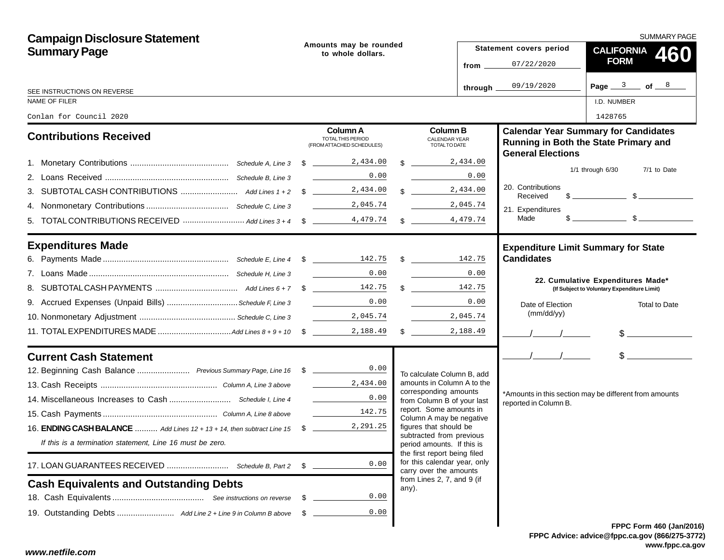| <b>Campaign Disclosure Statement</b>                                              |      |                                                                          |                                                            |           |                                            | SUMMARY PAGE                                                                                                                                                                                                                                                                                                        |
|-----------------------------------------------------------------------------------|------|--------------------------------------------------------------------------|------------------------------------------------------------|-----------|--------------------------------------------|---------------------------------------------------------------------------------------------------------------------------------------------------------------------------------------------------------------------------------------------------------------------------------------------------------------------|
| <b>Summary Page</b>                                                               |      | Amounts may be rounded<br>to whole dollars.                              |                                                            |           | Statement covers period                    | CALIFORNIA 460                                                                                                                                                                                                                                                                                                      |
|                                                                                   |      |                                                                          |                                                            | from $\_$ | 07/22/2020                                 | <b>FORM</b>                                                                                                                                                                                                                                                                                                         |
| SEE INSTRUCTIONS ON REVERSE                                                       |      |                                                                          |                                                            | through.  | 09/19/2020                                 | Page $3$ of $8$                                                                                                                                                                                                                                                                                                     |
| NAME OF FILER                                                                     |      |                                                                          |                                                            |           |                                            | I.D. NUMBER                                                                                                                                                                                                                                                                                                         |
| Conlan for Council 2020                                                           |      |                                                                          |                                                            |           |                                            | 1428765                                                                                                                                                                                                                                                                                                             |
| <b>Contributions Received</b>                                                     |      | <b>Column A</b><br><b>TOTAL THIS PERIOD</b><br>(FROM ATTACHED SCHEDULES) | <b>Column B</b><br><b>CALENDAR YEAR</b><br>TOTAL TO DATE   |           | <b>General Elections</b>                   | <b>Calendar Year Summary for Candidates</b><br>Running in Both the State Primary and                                                                                                                                                                                                                                |
|                                                                                   |      |                                                                          | $\frac{1}{2}$ , 434.00                                     |           |                                            |                                                                                                                                                                                                                                                                                                                     |
|                                                                                   |      | 0.00                                                                     |                                                            | 0.00      |                                            | $1/1$ through $6/30$<br>7/1 to Date                                                                                                                                                                                                                                                                                 |
|                                                                                   |      |                                                                          | $\frac{2,434.00}{\ }$                                      |           | 20. Contributions<br>Received              | $\frac{1}{2}$ $\frac{1}{2}$ $\frac{1}{2}$ $\frac{1}{2}$ $\frac{1}{2}$ $\frac{1}{2}$ $\frac{1}{2}$ $\frac{1}{2}$ $\frac{1}{2}$ $\frac{1}{2}$ $\frac{1}{2}$ $\frac{1}{2}$ $\frac{1}{2}$ $\frac{1}{2}$ $\frac{1}{2}$ $\frac{1}{2}$ $\frac{1}{2}$ $\frac{1}{2}$ $\frac{1}{2}$ $\frac{1}{2}$ $\frac{1}{2}$ $\frac{1}{2}$ |
|                                                                                   |      | 2,045.74                                                                 | 2,045.74                                                   |           | 21. Expenditures                           |                                                                                                                                                                                                                                                                                                                     |
|                                                                                   |      |                                                                          |                                                            |           | Made                                       | $s$ section $s$                                                                                                                                                                                                                                                                                                     |
| <b>Expenditures Made</b>                                                          |      |                                                                          |                                                            |           | <b>Expenditure Limit Summary for State</b> |                                                                                                                                                                                                                                                                                                                     |
|                                                                                   |      |                                                                          |                                                            |           | <b>Candidates</b>                          |                                                                                                                                                                                                                                                                                                                     |
|                                                                                   |      | $\overline{0.00}$                                                        |                                                            | 0.00      |                                            | 22. Cumulative Expenditures Made*                                                                                                                                                                                                                                                                                   |
|                                                                                   |      |                                                                          | $\mathbb{S}$                                               | 142.75    |                                            | (If Subject to Voluntary Expenditure Limit)                                                                                                                                                                                                                                                                         |
| 9. Accrued Expenses (Unpaid Bills)  Schedule F, Line 3                            |      | 0.00                                                                     |                                                            | 0.00      | Date of Election                           | <b>Total to Date</b>                                                                                                                                                                                                                                                                                                |
|                                                                                   |      | 2,045.74                                                                 |                                                            | 2,045.74  | (mm/dd/yy)                                 |                                                                                                                                                                                                                                                                                                                     |
|                                                                                   |      |                                                                          |                                                            | 2,188.49  | $\frac{1}{2}$                              | $\frac{1}{2}$                                                                                                                                                                                                                                                                                                       |
| <b>Current Cash Statement</b>                                                     |      |                                                                          |                                                            |           | $\frac{1}{2}$                              | $\frac{1}{2}$                                                                                                                                                                                                                                                                                                       |
| 12. Beginning Cash Balance  Previous Summary Page, Line 16 \$ _______________0.00 |      |                                                                          | To calculate Column B, add                                 |           |                                            |                                                                                                                                                                                                                                                                                                                     |
|                                                                                   |      | 2,434.00                                                                 | amounts in Column A to the<br>corresponding amounts        |           |                                            |                                                                                                                                                                                                                                                                                                                     |
|                                                                                   |      | 0.00                                                                     | from Column B of your last                                 |           | reported in Column B.                      | *Amounts in this section may be different from amounts                                                                                                                                                                                                                                                              |
|                                                                                   |      | 142.75                                                                   | report. Some amounts in<br>Column A may be negative        |           |                                            |                                                                                                                                                                                                                                                                                                                     |
| 16. <b>ENDING CASH BALANCE</b> Add Lines 12 + 13 + 14, then subtract Line 15 \$   |      | 2,291.25                                                                 | figures that should be<br>subtracted from previous         |           |                                            |                                                                                                                                                                                                                                                                                                                     |
| If this is a termination statement, Line 16 must be zero.                         |      |                                                                          | period amounts. If this is<br>the first report being filed |           |                                            |                                                                                                                                                                                                                                                                                                                     |
|                                                                                   | \$   | 0.00                                                                     | for this calendar year, only<br>carry over the amounts     |           |                                            |                                                                                                                                                                                                                                                                                                                     |
| <b>Cash Equivalents and Outstanding Debts</b>                                     |      |                                                                          | from Lines 2, 7, and 9 (if<br>any).                        |           |                                            |                                                                                                                                                                                                                                                                                                                     |
|                                                                                   | - \$ | 0.00                                                                     |                                                            |           |                                            |                                                                                                                                                                                                                                                                                                                     |
|                                                                                   | - \$ | 0.00                                                                     |                                                            |           |                                            |                                                                                                                                                                                                                                                                                                                     |
|                                                                                   |      |                                                                          |                                                            |           |                                            | <b>FPPC Form 460 (Jan/201)</b>                                                                                                                                                                                                                                                                                      |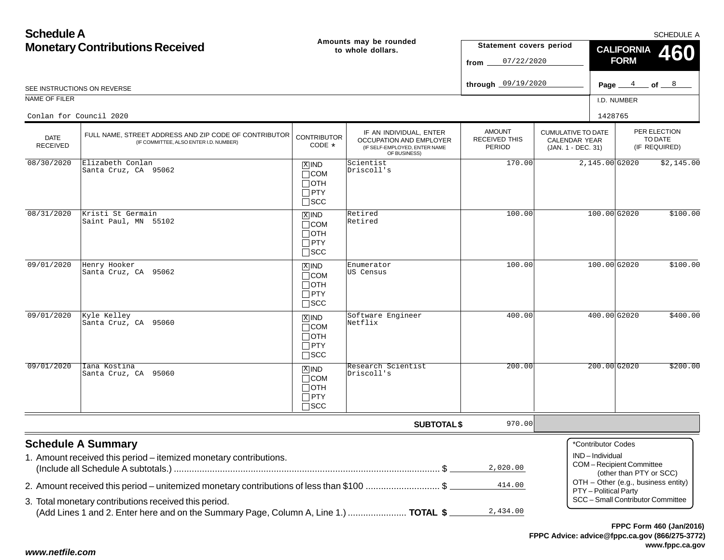| <b>Schedule A</b>              |                                                                                                                                               |                                                                    |                                                                                                     |                                                 |                                                                  |                                                                 | <b>SCHEDULE A</b>                        |  |
|--------------------------------|-----------------------------------------------------------------------------------------------------------------------------------------------|--------------------------------------------------------------------|-----------------------------------------------------------------------------------------------------|-------------------------------------------------|------------------------------------------------------------------|-----------------------------------------------------------------|------------------------------------------|--|
|                                | <b>Monetary Contributions Received</b>                                                                                                        |                                                                    | Amounts may be rounded<br>to whole dollars.                                                         | Statement covers period<br>07/22/2020<br>from   |                                                                  | <b>CALIFORNIA</b><br>460<br><b>FORM</b>                         |                                          |  |
|                                | SEE INSTRUCTIONS ON REVERSE                                                                                                                   |                                                                    |                                                                                                     | through 09/19/2020                              |                                                                  |                                                                 | Page $4$ of $8$                          |  |
| NAME OF FILER                  |                                                                                                                                               |                                                                    |                                                                                                     |                                                 |                                                                  | I.D. NUMBER                                                     |                                          |  |
|                                | Conlan for Council 2020                                                                                                                       |                                                                    |                                                                                                     |                                                 |                                                                  | 1428765                                                         |                                          |  |
| <b>DATE</b><br><b>RECEIVED</b> | FULL NAME, STREET ADDRESS AND ZIP CODE OF CONTRIBUTOR<br>(IF COMMITTEE, ALSO ENTER I.D. NUMBER)                                               | <b>CONTRIBUTOR</b><br>CODE *                                       | IF AN INDIVIDUAL, ENTER<br>OCCUPATION AND EMPLOYER<br>(IF SELF-EMPLOYED, ENTER NAME<br>OF BUSINESS) | <b>AMOUNT</b><br><b>RECEIVED THIS</b><br>PERIOD | <b>CUMULATIVE TO DATE</b><br>CALENDAR YEAR<br>(JAN. 1 - DEC. 31) |                                                                 | PER ELECTION<br>TO DATE<br>(IF REQUIRED) |  |
| 08/30/2020                     | Elizabeth Conlan<br>Santa Cruz, CA 95062                                                                                                      | $X$ IND<br>$\Box$ COM<br>$\Box$ OTH<br>$\Box$ PTY<br>$\square$ SCC | Scientist<br>Driscoll's                                                                             | 170.00                                          |                                                                  | 2,145.00 G2020                                                  | \$2,145.00                               |  |
| 08/31/2020                     | Kristi St Germain<br>Saint Paul, MN 55102                                                                                                     | $X$ IND<br>$\Box$ COM<br>$\Box$ OTH<br>$\Box$ PTY<br>$\square$ SCC | Retired<br>Retired                                                                                  | 100.00                                          |                                                                  | 100.00G2020                                                     | \$100.00                                 |  |
| 09/01/2020                     | Henry Hooker<br>Santa Cruz, CA 95062                                                                                                          | $X$ IND<br>$\Box$ COM<br>$\Box$ oth<br>$\Box$ PTY<br>$\Box$ SCC    | Enumerator<br>US Census                                                                             | 100.00                                          |                                                                  | 100.00 G2020                                                    | \$100.00                                 |  |
| 09/01/2020                     | Kyle Kelley<br>Santa Cruz, CA 95060                                                                                                           | $X$ IND<br>$\Box$ COM<br>$\Box$ OTH<br>$\Box$ PTY<br>$\square$ SCC | Software Engineer<br>Netflix                                                                        | 400.00                                          |                                                                  | 400.00 G2020                                                    | \$400.00                                 |  |
| 09/01/2020                     | Iana Kostina<br>Santa Cruz, CA 95060                                                                                                          | $X$ IND<br>$\Box$ COM<br>$\Box$ OTH<br>$\Box$ PTY<br>$\square$ SCC | Research Scientist<br>Driscoll's                                                                    | 200.00                                          |                                                                  | $200.00$ G2020                                                  | \$200.00                                 |  |
|                                |                                                                                                                                               |                                                                    | <b>SUBTOTAL \$</b>                                                                                  | 970.00                                          |                                                                  |                                                                 |                                          |  |
|                                | <b>Schedule A Summary</b><br>1. Amount received this period - itemized monetary contributions.                                                |                                                                    |                                                                                                     | 2,020.00                                        |                                                                  | *Contributor Codes<br>IND-Individual<br>COM-Recipient Committee | (other than PTY or SCC)                  |  |
|                                | 2. Amount received this period – unitemized monetary contributions of less than \$100 \$                                                      |                                                                    |                                                                                                     | 414.00                                          |                                                                  | PTY - Political Party                                           | OTH - Other (e.g., business entity)      |  |
|                                | 3. Total monetary contributions received this period.<br>(Add Lines 1 and 2. Enter here and on the Summary Page, Column A, Line 1.)  TOTAL \$ |                                                                    |                                                                                                     | 2,434.00                                        |                                                                  |                                                                 | SCC - Small Contributor Committee        |  |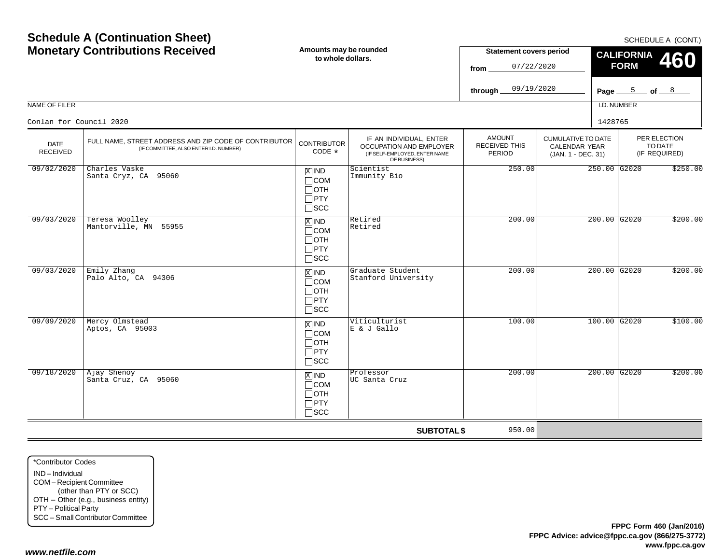|                                          |                                                                                                 |                                                                    |                                                                                                            | 09/19/2020<br>through.                          | Page $\_\_$                                                             | $\frac{5}{2}$ of $\frac{8}{2}$           |          |
|------------------------------------------|-------------------------------------------------------------------------------------------------|--------------------------------------------------------------------|------------------------------------------------------------------------------------------------------------|-------------------------------------------------|-------------------------------------------------------------------------|------------------------------------------|----------|
| NAME OF FILER<br>Conlan for Council 2020 |                                                                                                 |                                                                    |                                                                                                            |                                                 | 1428765                                                                 | I.D. NUMBER                              |          |
| <b>DATE</b><br>RECEIVED                  | FULL NAME, STREET ADDRESS AND ZIP CODE OF CONTRIBUTOR<br>(IF COMMITTEE, ALSO ENTER I.D. NUMBER) | <b>CONTRIBUTOR</b><br>$CODE *$                                     | IF AN INDIVIDUAL, ENTER<br><b>OCCUPATION AND EMPLOYER</b><br>(IF SELF-EMPLOYED, ENTER NAME<br>OF BUSINESS) | <b>AMOUNT</b><br><b>RECEIVED THIS</b><br>PERIOD | <b>CUMULATIVE TO DATE</b><br><b>CALENDAR YEAR</b><br>(JAN. 1 - DEC. 31) | PER ELECTION<br>TO DATE<br>(IF REQUIRED) |          |
| 09/02/2020                               | Charles Vaske<br>Santa Cryz, CA 95060                                                           | $X$ IND<br>$\Box$ COM<br>$\Box$ OTH<br>$\Box$ PTY<br>$\square$ SCC | Scientist<br>Immunity Bio                                                                                  | 250.00                                          |                                                                         | 250.00 G2020                             | \$250.00 |
| 09/03/2020                               | Teresa Woolley<br>Mantorville, MN 55955                                                         | $X$ IND<br>$\Box$ COM<br>$\Box$ OTH<br>$\Box$ PTY<br>$\Box$ SCC    | Retired<br>Retired                                                                                         | 200.00                                          |                                                                         | $200.00$ G2020                           | \$200.00 |
| 09/03/2020                               | Emily Zhang<br>Palo Alto, CA 94306                                                              | $X$ IND<br>$\Box$ COM<br>$\Box$ OTH<br>$\Box$ PTY<br>$\square$ SCC | Graduate Student<br>Stanford University                                                                    | 200.00                                          |                                                                         | $200.00$ G2020                           | \$200.00 |
| 09/09/2020                               | Mercy Olmstead<br>Aptos, CA 95003                                                               | $x$ IND<br>$\Box$ COM<br>$\Box$ OTH<br>$\Box$ PTY<br>$\Box$ SCC    | Viticulturist<br>E & J Gallo                                                                               | 100.00                                          |                                                                         | $100.00$ G2020                           | \$100.00 |
| 09/18/2020                               | Ajay Shenoy<br>Santa Cruz, CA 95060                                                             | $X$ IND<br>$\Box$ COM<br>$\Box$ OTH<br>$\Box$ PTY<br>$\Box$ scc    | Professor<br>UC Santa Cruz                                                                                 | 200.00                                          |                                                                         | $200.00$ G2020                           | \$200.00 |

**Amounts may be rounded to whole dollars.**

# **Schedule A (Continuation Sheet) Monetary Contributions Received**

SCHEDULE A (CONT.)

**460**

**CALIFORNIA FORM**

**Statement covers period**

07/22/2020

**from**

**SUBTOTAL \$**

950.00

*www.netfile.com*

\*Contributor CodesIND – IndividualCOM – Recipient Committee (other than PTY or SCC) OTH – Other (e.g., business entity) PTY – Political Party SCC – Small Contributor Committee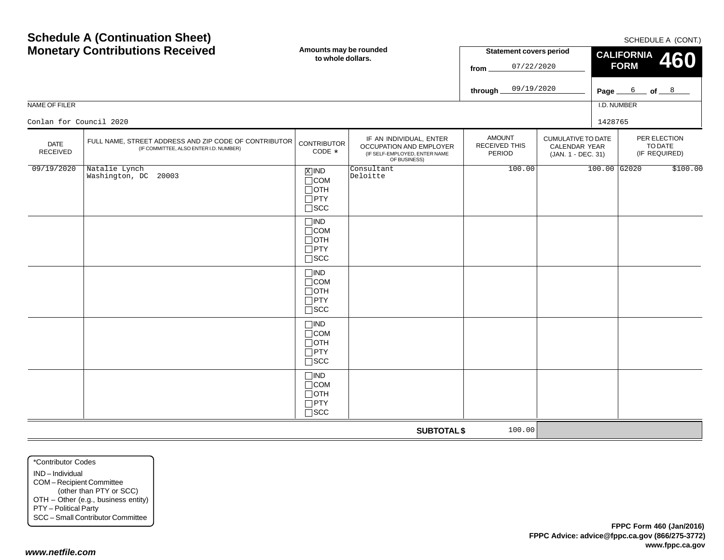| <b>MOTERITY CONTINUOUS RECEIVED</b> |                                                                                                 | to whole dollars.                                                     |                                                                                                     | Statement Covers period<br>07/22/2020<br>from   |                                                                  | <b>CALIFORNIA 460</b><br><b>FORM</b> |                 |                                          |  |
|-------------------------------------|-------------------------------------------------------------------------------------------------|-----------------------------------------------------------------------|-----------------------------------------------------------------------------------------------------|-------------------------------------------------|------------------------------------------------------------------|--------------------------------------|-----------------|------------------------------------------|--|
|                                     |                                                                                                 |                                                                       |                                                                                                     | 09/19/2020<br>through $\_$                      |                                                                  |                                      | Page $6$ of $8$ |                                          |  |
| NAME OF FILER                       |                                                                                                 |                                                                       |                                                                                                     |                                                 |                                                                  | I.D. NUMBER                          |                 |                                          |  |
| Conlan for Council 2020             |                                                                                                 |                                                                       |                                                                                                     |                                                 |                                                                  | 1428765                              |                 |                                          |  |
| <b>DATE</b><br>RECEIVED             | FULL NAME, STREET ADDRESS AND ZIP CODE OF CONTRIBUTOR<br>(IF COMMITTEE, ALSO ENTER I.D. NUMBER) | <b>CONTRIBUTOR</b><br>CODE *                                          | IF AN INDIVIDUAL, ENTER<br>OCCUPATION AND EMPLOYER<br>(IF SELF-EMPLOYED, ENTER NAME<br>OF BUSINESS) | <b>AMOUNT</b><br><b>RECEIVED THIS</b><br>PERIOD | <b>CUMULATIVE TO DATE</b><br>CALENDAR YEAR<br>(JAN. 1 - DEC. 31) |                                      |                 | PER ELECTION<br>TO DATE<br>(IF REQUIRED) |  |
| 09/19/2020                          | Natalie Lynch<br>Washington, DC 20003                                                           | $X$ IND<br>$\Box$ COM<br>$\Box$ OTH<br>$\Box$ PTY<br>$\square$ SCC    | Consultant<br>Deloitte                                                                              | 100.00                                          |                                                                  | $100.00$ G2020                       |                 | \$100.00                                 |  |
|                                     |                                                                                                 | $\Box$ IND<br>$\Box$ COM<br>$\Box$ OTH<br>$\Box$ PTY<br>$\square$ SCC |                                                                                                     |                                                 |                                                                  |                                      |                 |                                          |  |
|                                     |                                                                                                 | $\Box$ IND<br>$\Box$ COM<br>$\Box$ OTH<br>$\Box$ PTY<br>$\square$ SCC |                                                                                                     |                                                 |                                                                  |                                      |                 |                                          |  |
|                                     |                                                                                                 | $\Box$ IND<br>$\Box$ COM<br>$\Box$ OTH<br>$\Box$ PTY<br>$\square$ SCC |                                                                                                     |                                                 |                                                                  |                                      |                 |                                          |  |
|                                     |                                                                                                 | $\Box$ IND<br>$\Box$ COM<br>$\Box$ OTH<br>$\Box$ PTY<br>$\square$ SCC |                                                                                                     |                                                 |                                                                  |                                      |                 |                                          |  |
|                                     |                                                                                                 |                                                                       | <b>SUBTOTAL \$</b>                                                                                  | 100.00                                          |                                                                  |                                      |                 |                                          |  |

SCHEDULE A (CONT.)

**Statement covers period**

## **Schedule A (Continuation Sheet) Monetary Contributions Received**

**Amounts may be rounded to whole dollars.**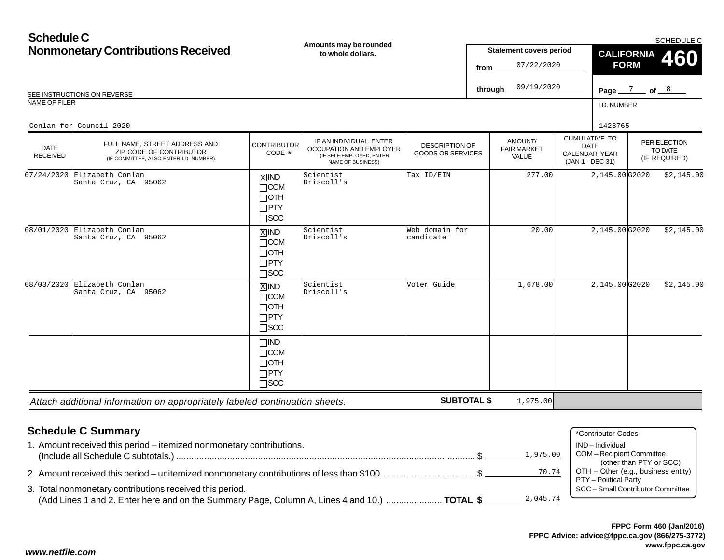| <b>Schedule C</b><br><b>Nonmonetary Contributions Received</b><br>SEE INSTRUCTIONS ON REVERSE<br>NAME OF FILER |                                                                                                                               |                                                                                   | Amounts may be rounded<br>to whole dollars.                                                         |                                                   | <b>Statement covers period</b><br>07/22/2020<br>from<br>09/19/2020<br>through.                                     | SCHEDULE C<br><b>CALIFORNIA</b><br>460<br><b>FORM</b><br>Page $\frac{7}{2}$ of $\frac{8}{2}$<br>I.D. NUMBER |                |  |                                          |
|----------------------------------------------------------------------------------------------------------------|-------------------------------------------------------------------------------------------------------------------------------|-----------------------------------------------------------------------------------|-----------------------------------------------------------------------------------------------------|---------------------------------------------------|--------------------------------------------------------------------------------------------------------------------|-------------------------------------------------------------------------------------------------------------|----------------|--|------------------------------------------|
| <b>DATE</b><br><b>RECEIVED</b>                                                                                 | Conlan for Council 2020<br>FULL NAME, STREET ADDRESS AND<br>ZIP CODE OF CONTRIBUTOR<br>(IF COMMITTEE, ALSO ENTER I.D. NUMBER) | <b>CONTRIBUTOR</b><br>CODE *                                                      | IF AN INDIVIDUAL, ENTER<br>OCCUPATION AND EMPLOYER<br>(IF SELF-EMPLOYED, ENTER<br>NAME OF BUSINESS) | <b>DESCRIPTION OF</b><br><b>GOODS OR SERVICES</b> | <b>CUMULATIVE TO</b><br>AMOUNT/<br><b>DATE</b><br><b>FAIR MARKET</b><br>CALENDAR YEAR<br>VALUE<br>(JAN 1 - DEC 31) |                                                                                                             | 1428765        |  | PER ELECTION<br>TO DATE<br>(IF REQUIRED) |
| 07/24/2020                                                                                                     | Elizabeth Conlan<br>Santa Cruz, CA 95062                                                                                      | $\boxed{\text{X}}$ IND<br>$\Box$ COM<br>$\Box$ OTH<br>$\Box$ PTY<br>$\square$ SCC | Scientist<br>Driscoll's                                                                             | Tax ID/EIN                                        | 277.00                                                                                                             |                                                                                                             | 2,145.00G2020  |  | \$2,145.00                               |
|                                                                                                                | 08/01/2020 Elizabeth Conlan<br>Santa Cruz, CA 95062                                                                           | $X$ IND<br>$\Box$ COM<br>$\Box$ OTH<br>$\Box$ PTY<br>$\square$ SCC                | Scientist<br>Driscoll's                                                                             | Web domain for<br>candidate                       | 20.00                                                                                                              |                                                                                                             | 2,145.00 G2020 |  | \$2,145.00                               |
| 08/03/2020                                                                                                     | Elizabeth Conlan<br>Santa Cruz, CA 95062                                                                                      | $X$ IND<br>$\Box$ COM<br>$\Box$ OTH<br>$\Box$ PTY<br>$\Box$ scc                   | Scientist<br>Driscoll's                                                                             | Voter Guide                                       | 1,678.00                                                                                                           |                                                                                                             | 2,145.00G2020  |  | \$2,145.00                               |
|                                                                                                                |                                                                                                                               | $\Box$ IND<br>$\Box$ COM<br>$\Box$ OTH<br>$\Box$ PTY<br>$\Box$ scc                |                                                                                                     |                                                   |                                                                                                                    |                                                                                                             |                |  |                                          |
|                                                                                                                | Attach additional information on appropriately labeled continuation sheets.                                                   |                                                                                   |                                                                                                     | <b>SUBTOTAL \$</b>                                | 1,975.00                                                                                                           |                                                                                                             |                |  |                                          |

| <b>Schedule C Summary</b>                                                                                | *Contributor Codes                                                                      |
|----------------------------------------------------------------------------------------------------------|-----------------------------------------------------------------------------------------|
| . Amount received this period – itemized nonmonetary contributions.                                      | IND-Individual                                                                          |
| 1,975.00                                                                                                 | COM-Recipient Committee                                                                 |
| 70.74<br>2. Amount received this period – unitemized nonmonetary contributions of less than \$100 \$     | (other than PTY or SCC)<br>OTH - Other (e.g., business entity)<br>PTY - Political Party |
| 3. Total nonmonetary contributions received this period.                                                 | SCC - Small Contributor Committee                                                       |
| (Add Lines 1 and 2. Enter here and on the Summary Page, Column A, Lines 4 and 10.)  TOTAL \$<br>2,045.74 |                                                                                         |